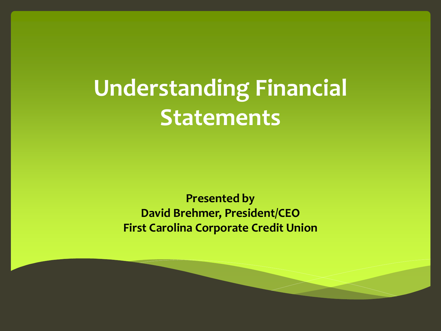### **Understanding Financial Statements**

**Presented by David Brehmer, President/CEO First Carolina Corporate Credit Union**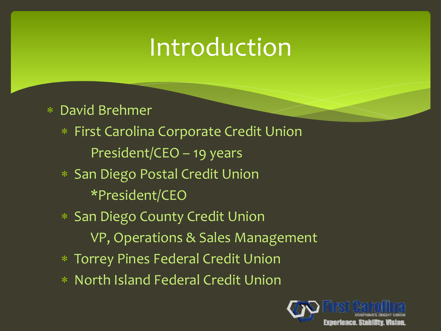### Introduction

#### David Brehmer

- First Carolina Corporate Credit Union President/CEO – 19 years
- San Diego Postal Credit Union \*President/CEO
- San Diego County Credit Union VP, Operations & Sales Management
- Torrey Pines Federal Credit Union
- North Island Federal Credit Union

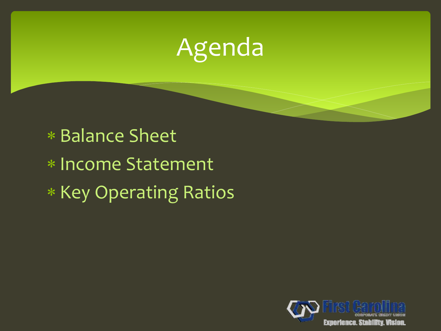# Agenda

 Balance Sheet Income Statement \* Key Operating Ratios

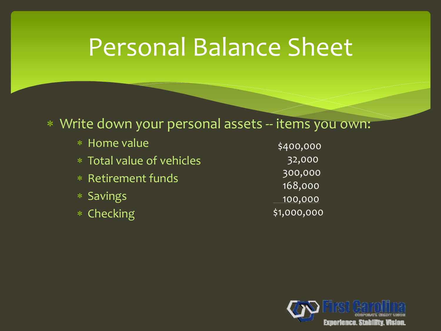### Personal Balance Sheet

#### Write down your personal assets -- items you own:

| * Home value              | \$400,000          |
|---------------------------|--------------------|
| * Total value of vehicles | 32,000             |
| * Retirement funds        | 300,000<br>168,000 |
| * Savings                 | 100,000            |
| * Checking                | \$1,000,000        |

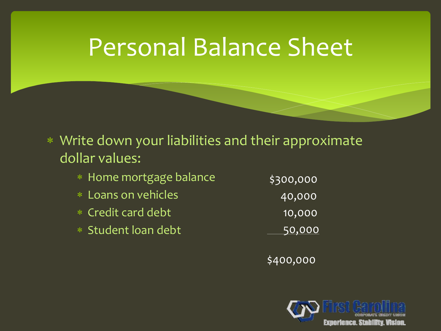### Personal Balance Sheet

 Write down your liabilities and their approximate dollar values:

| * Home mortgage balance | \$300,000 |
|-------------------------|-----------|
|-------------------------|-----------|

- Loans on vehicles 40,000
- Credit card debt 10,000
- Student loan debt 50,000

\$400,000

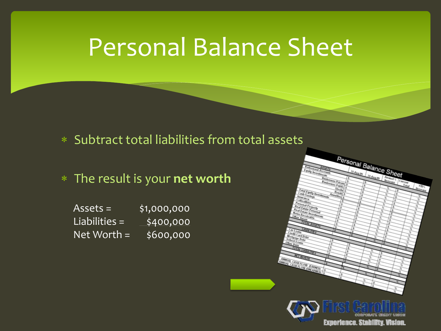### Personal Balance Sheet

- Subtract total liabilities from total assets
- The result is your **net worth**

| $Assets =$      | \$1,000,000 |
|-----------------|-------------|
| $Liabilities =$ | \$400,000   |
| Net Worth $=$   | \$600,000   |

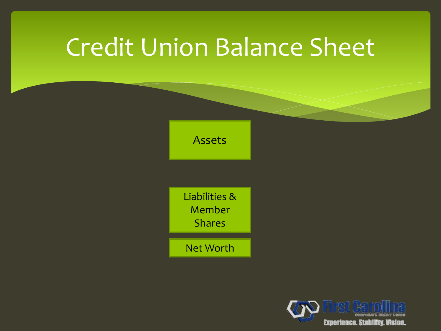### Credit Union Balance Sheet

Assets

Liabilities & Member Shares

Net Worth

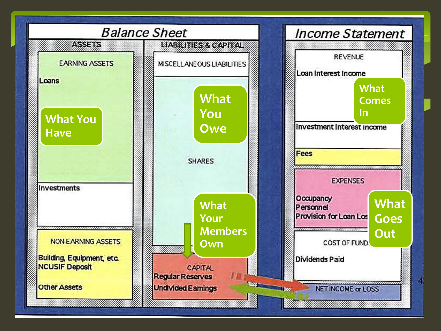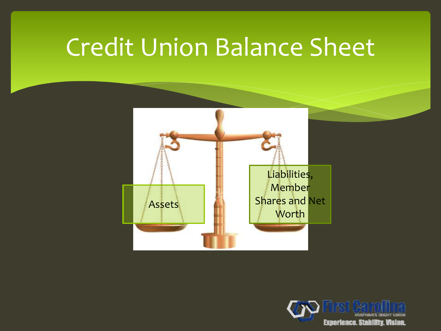### Credit Union Balance Sheet



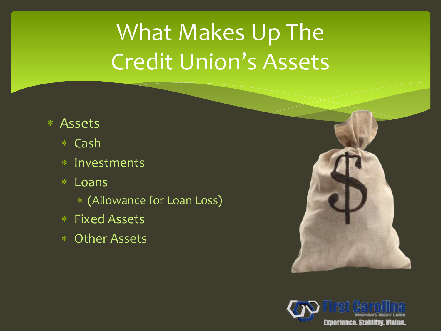- Assets
	- Cash
	- Investments
	- Loans
		- (Allowance for Loan Loss)
	- Fixed Assets
	- Other Assets



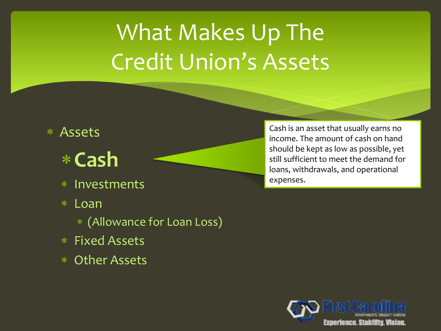- Assets
	- **Cash**
	- Investments
	- Loan
		- (Allowance for Loan Loss)
	- Fixed Assets
	- Other Assets

Cash is an asset that usually earns no income. The amount of cash on hand should be kept as low as possible, yet still sufficient to meet the demand for loans, withdrawals, and operational expenses.

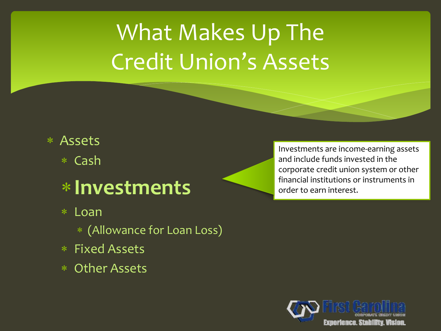#### Assets

Cash

#### **Investments**

- Loan
	- (Allowance for Loan Loss)
- Fixed Assets
- Other Assets

Investments are income-earning assets and include funds invested in the corporate credit union system or other financial institutions or instruments in order to earn interest.

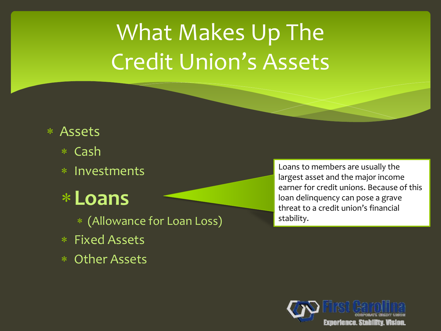- Assets
	- Cash
	- Investments
	- **Loans**
		- (Allowance for Loan Loss)
	- Fixed Assets
	- Other Assets

Loans to members are usually the largest asset and the major income earner for credit unions. Because of this loan delinquency can pose a grave threat to a credit union's financial stability.

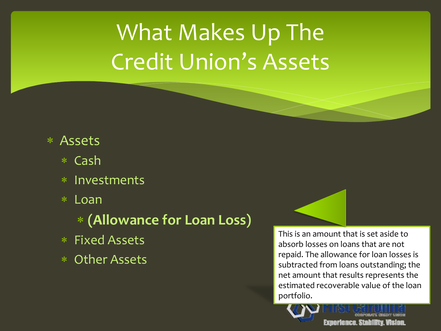#### Assets

- Cash
- Investments
- Loan
	- **(Allowance for Loan Loss)**
- Fixed Assets
- Other Assets



This is an amount that is set aside to absorb losses on loans that are not repaid. The allowance for loan losses is subtracted from loans outstanding; the net amount that results represents the estimated recoverable value of the loan portfolio.



Execricnce. Staniny. Wsion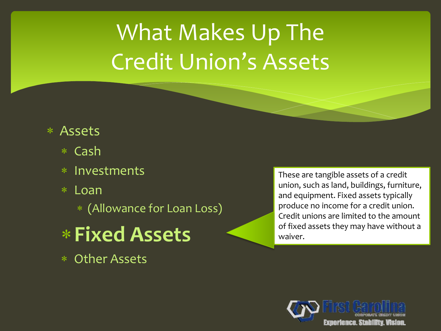- Assets
	- Cash
	- Investments
	- Loan

(Allowance for Loan Loss)

- **Fixed Assets**
- Other Assets

These are tangible assets of a credit union, such as land, buildings, furniture, and equipment. Fixed assets typically produce no income for a credit union. Credit unions are limited to the amount of fixed assets they may have without a waiver.

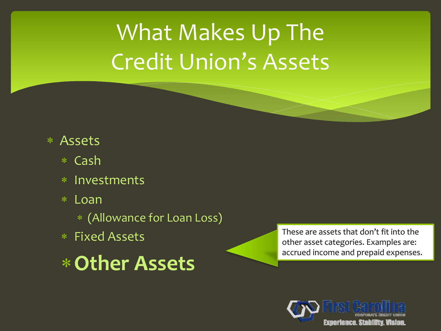#### Assets

- Cash
- Investments
- Loan
	- (Allowance for Loan Loss)
- Fixed Assets

**Other Assets**

These are assets that don't fit into the other asset categories. Examples are: accrued income and prepaid expenses.

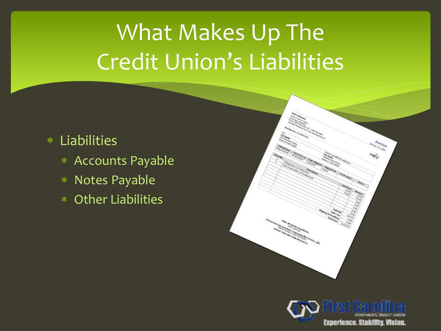### What Makes Up The Credit Union's Liabilities

#### Liabilities

- Accounts Payable
- Notes Payable
- Other Liabilities



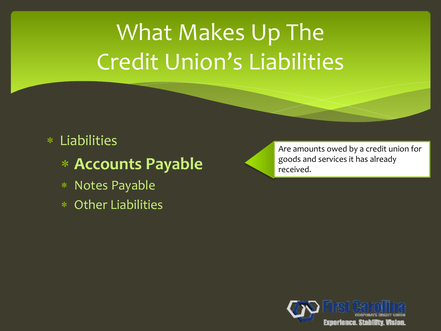### What Makes Up The Credit Union's Liabilities

#### Liabilities

- **Accounts Payable**
- Notes Payable
- Other Liabilities

Are amounts owed by a credit union for goods and services it has already received.

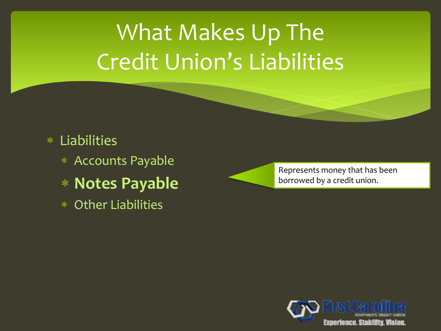### What Makes Up The Credit Union's Liabilities

#### Liabilities

- Accounts Payable
- **Notes Payable**
- Other Liabilities

Represents money that has been borrowed by a credit union.

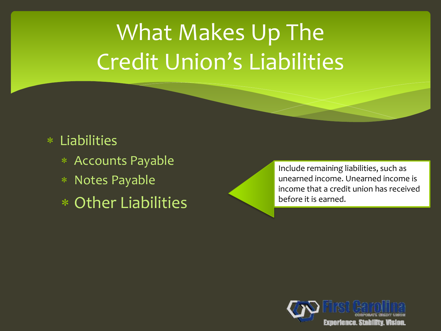### What Makes Up The Credit Union's Liabilities

#### Liabilities

- Accounts Payable
- Notes Payable
- Other Liabilities

Include remaining liabilities, such as unearned income. Unearned income is income that a credit union has received before it is earned.

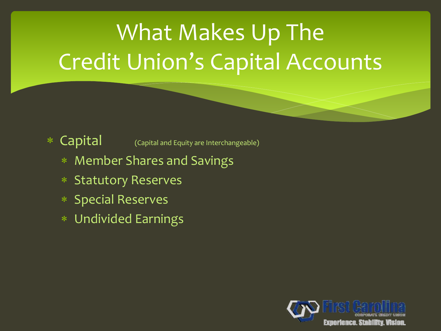\* Capital (Capital and Equity are Interchangeable)

- Member Shares and Savings
- Statutory Reserves
- Special Reserves
- Undivided Earnings

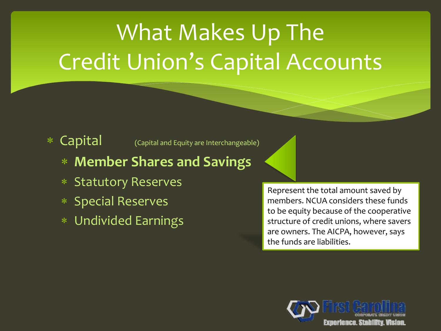$\triangleleft$  Capital  $\triangleleft$  (Capital and Equity are Interchangeable)

- **Member Shares and Savings**
- Statutory Reserves
- Special Reserves
- Undivided Earnings

Represent the total amount saved by members. NCUA considers these funds to be equity because of the cooperative structure of credit unions, where savers are owners. The AICPA, however, says the funds are liabilities.

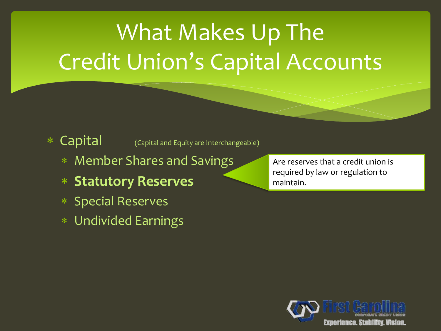$\triangleleft$  Capital  $\triangleleft$  (Capital and Equity are Interchangeable)

- Member Shares and Savings
- **Statutory Reserves**
- Special Reserves
- Undivided Earnings

Are reserves that a credit union is required by law or regulation to maintain.

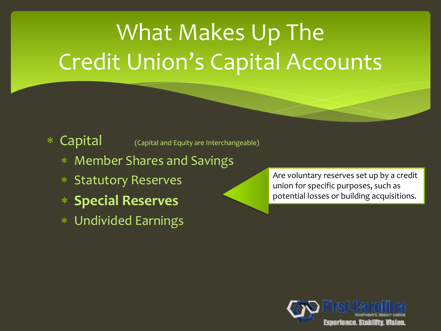$\triangleleft$  Capital  $\triangleleft$  (Capital and Equity are Interchangeable)

- \* Member Shares and Savings
- Statutory Reserves
- **Special Reserves**
- Undivided Earnings

Are voluntary reserves set up by a credit union for specific purposes, such as potential losses or building acquisitions.

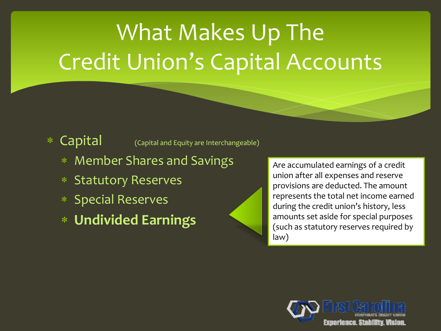$\triangleleft$  Capital  $\triangleleft$  (Capital and Equity are Interchangeable)

- Member Shares and Savings
- Statutory Reserves
- \* Special Reserves
- **Undivided Earnings**

Are accumulated earnings of a credit union after all expenses and reserve provisions are deducted. The amount represents the total net income earned during the credit union's history, less amounts set aside for special purposes (such as statutory reserves required by law)

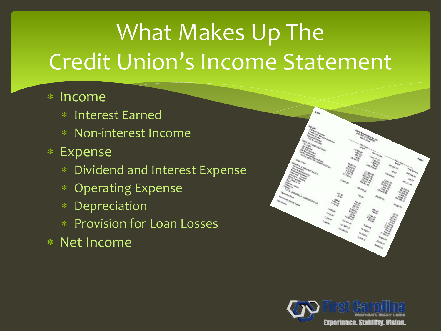#### \* Income

- Interest Earned
- Non-interest Income
- Expense
	- Dividend and Interest Expense
	- Operating Expense
	- Depreciation
	- Provision for Loan Losses
- Net Income



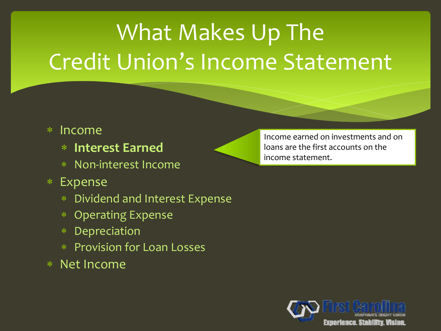#### \* Income

- **Interest Earned**
- Non-interest Income
- Expense
	- Dividend and Interest Expense
	- Operating Expense
	- Depreciation
	- Provision for Loan Losses
- Net Income



Income earned on investments and on loans are the first accounts on the income statement.

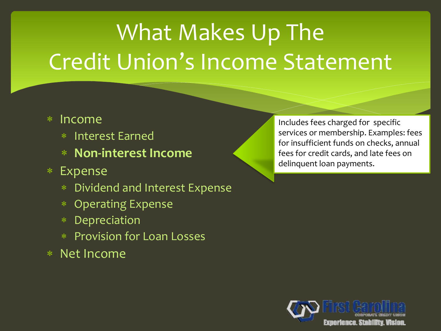#### \* Income

- Interest Earned
- **Non-interest Income**
- Expense
	- Dividend and Interest Expense
	- Operating Expense
	- Depreciation
	- Provision for Loan Losses
- Net Income

Includes fees charged for specific services or membership. Examples: fees for insufficient funds on checks, annual fees for credit cards, and late fees on delinquent loan payments.

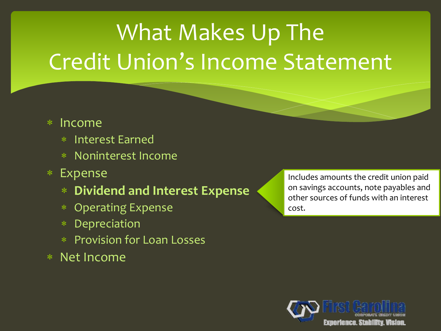- \* Income
	- Interest Earned
	- Noninterest Income
- Expense
	- **Dividend and Interest Expense**
	- Operating Expense
	- Depreciation
	- Provision for Loan Losses
- Net Income

Includes amounts the credit union paid on savings accounts, note payables and other sources of funds with an interest cost.

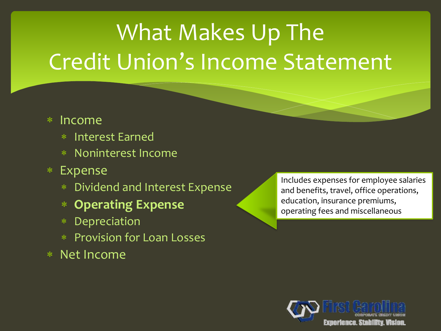#### \* Income

- Interest Earned
- Noninterest Income
- Expense
	- Dividend and Interest Expense
	- **Operating Expense**
	- Depreciation
	- Provision for Loan Losses
- Net Income

Includes expenses for employee salaries and benefits, travel, office operations, education, insurance premiums, operating fees and miscellaneous

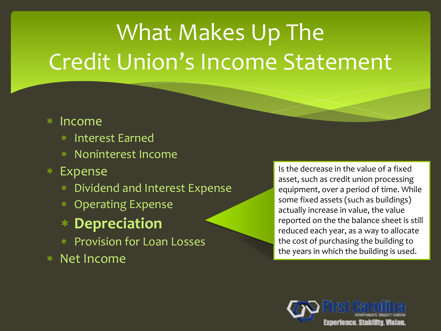#### \* Income

- Interest Earned
- Noninterest Income
- Expense
	- Dividend and Interest Expense
	- Operating Expense

#### **Depreciation**

- Provision for Loan Losses
- Net Income

Is the decrease in the value of a fixed asset, such as credit union processing equipment, over a period of time. While some fixed assets (such as buildings) actually increase in value, the value reported on the the balance sheet is still reduced each year, as a way to allocate the cost of purchasing the building to the years in which the building is used.

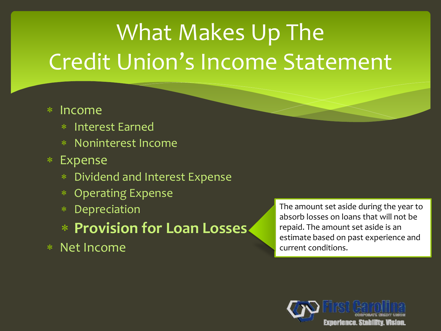#### \* Income

- Interest Earned
- Noninterest Income
- Expense
	- Dividend and Interest Expense
	- Operating Expense
	- Depreciation
	- **Provision for Loan Losses**
- Net Income

The amount set aside during the year to absorb losses on loans that will not be repaid. The amount set aside is an estimate based on past experience and current conditions.

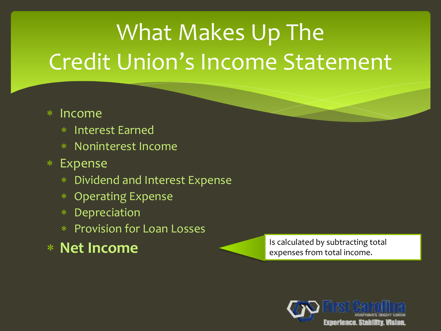#### \* Income

- Interest Earned
- Noninterest Income
- Expense
	- Dividend and Interest Expense
	- Operating Expense
	- Depreciation
	- Provision for Loan Losses
- **Net Income**

Is calculated by subtracting total expenses from total income.

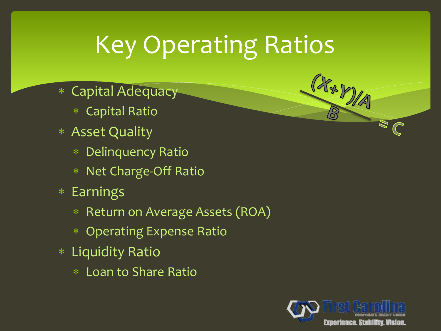## Key Operating Ratios

- Capital Adequacy
	- Capital Ratio
- Asset Quality
	- Delinquency Ratio
	- Net Charge-Off Ratio
- Earnings
	- Return on Average Assets (ROA)
	- Operating Expense Ratio
- Liquidity Ratio
	- Loan to Share Ratio



 $( \mathcal{X}_{\sharp} )_{2}$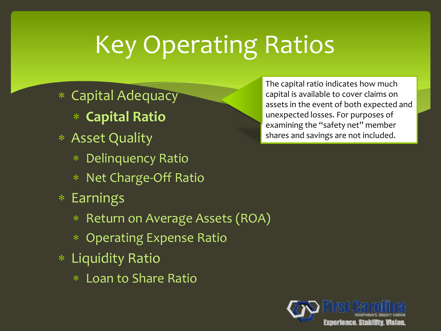### Key Operating Ratios

- Capital Adequacy
	- **Capital Ratio**
- Asset Quality
	- Delinquency Ratio
	- Net Charge-Off Ratio
- Earnings
	- Return on Average Assets (ROA)
	- Operating Expense Ratio
- Liquidity Ratio
	- Loan to Share Ratio

The capital ratio indicates how much capital is available to cover claims on assets in the event of both expected and unexpected losses. For purposes of examining the "safety net" member shares and savings are not included.

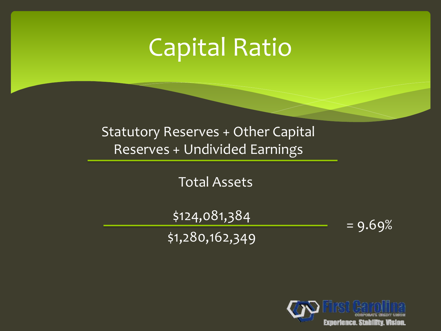### Capital Ratio

#### Statutory Reserves + Other Capital Reserves + Undivided Earnings

Total Assets

\$124,081,384 \$1,280,162,349



 $= 9.69%$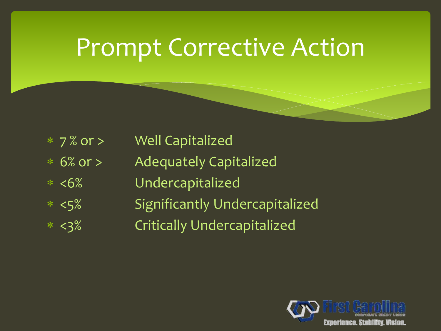### Prompt Corrective Action

- 7 % or > Well Capitalized
- 6% or > Adequately Capitalized
- <6% Undercapitalized
- <5% Significantly Undercapitalized
- <3% Critically Undercapitalized

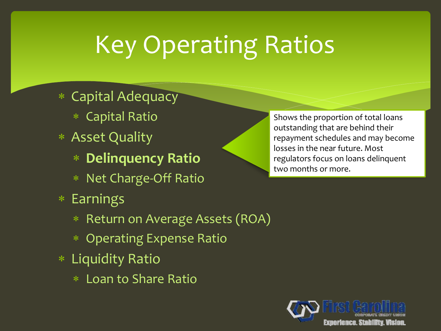# Key Operating Ratios

#### Capital Adequacy

- Capital Ratio
- Asset Quality
	- **Delinquency Ratio**
	- Net Charge-Off Ratio
- Earnings
	- Return on Average Assets (ROA)
	- Operating Expense Ratio
- Liquidity Ratio
	- Loan to Share Ratio

Shows the proportion of total loans outstanding that are behind their repayment schedules and may become losses in the near future. Most regulators focus on loans delinquent two months or more.

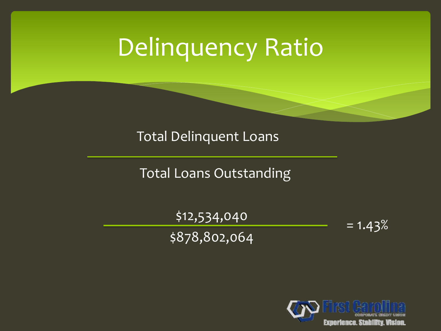### Delinquency Ratio

Total Delinquent Loans

Total Loans Outstanding

| \$12,534,040  | $= 1.43%$ |
|---------------|-----------|
| \$878,802,064 |           |

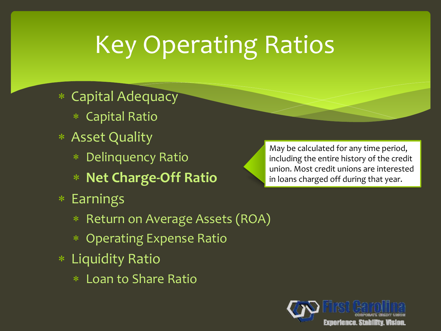# Key Operating Ratios

#### Capital Adequacy

- Capital Ratio
- Asset Quality
	- Delinquency Ratio
	- **Net Charge-Off Ratio**
- Earnings
	- Return on Average Assets (ROA)
	- Operating Expense Ratio
- Liquidity Ratio
	- Loan to Share Ratio

May be calculated for any time period, including the entire history of the credit union. Most credit unions are interested in loans charged off during that year.

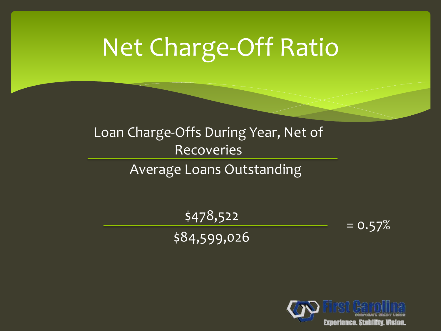### Net Charge-Off Ratio

#### Loan Charge-Offs During Year, Net of **Recoveries**

#### Average Loans Outstanding

#### $$478,522$  = 0.57% \$84,599,026

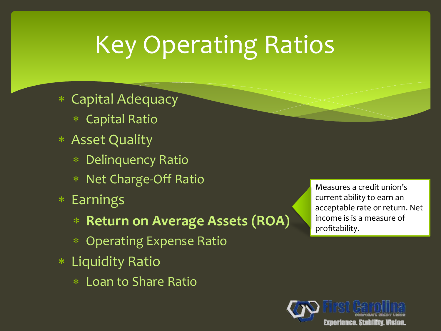# Key Operating Ratios

#### Capital Adequacy

- Capital Ratio
- Asset Quality
	- Delinquency Ratio
	- Net Charge-Off Ratio
- Earnings
	- **Return on Average Assets (ROA)**
	- Operating Expense Ratio
- Liquidity Ratio
	- Loan to Share Ratio

Measures a credit union's current ability to earn an acceptable rate or return. Net income is is a measure of profitability.

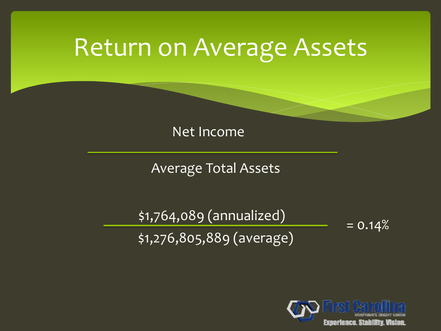#### Return on Average Assets

Net Income

Average Total Assets

\$1,764,089 (annualized) \$1,276,805,889 (average)  $= 0.14%$ 

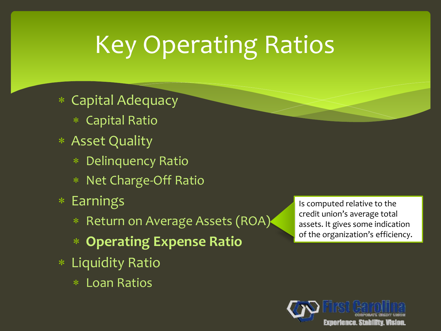# Key Operating Ratios

#### Capital Adequacy

- Capital Ratio
- Asset Quality
	- Delinquency Ratio
	- Net Charge-Off Ratio
- \* Earnings
	- Return on Average Assets (ROA)
	- **Operating Expense Ratio**
- Liquidity Ratio
	- Loan Ratios

Is computed relative to the credit union's average total assets. It gives some indication of the organization's efficiency.

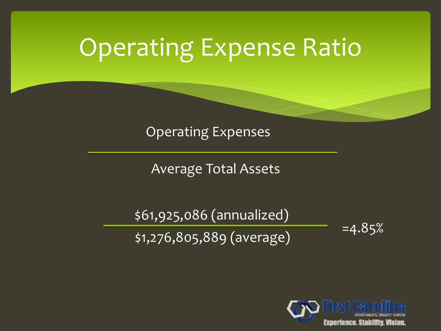### Operating Expense Ratio

Operating Expenses

Average Total Assets

\$61,925,086 (annualized)  $\overline{\left(1,276,805,889\ (average)\right)}$  =4.85%

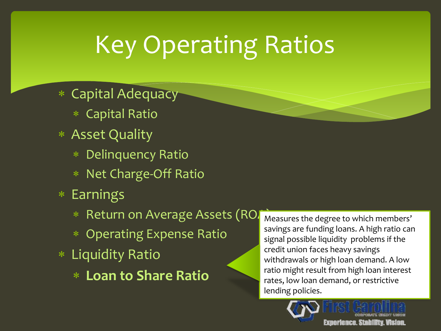# Key Operating Ratios

- Capital Adequacy
	- Capital Ratio
- Asset Quality
	- Delinquency Ratio
	- Net Charge-Off Ratio
- Earnings
	- \* Return on Average Assets (ROA
	- Operating Expense Ratio
- Liquidity Ratio
	- **Loan to Share Ratio**

Measures the degree to which members' savings are funding loans. A high ratio can signal possible liquidity problems if the credit union faces heavy savings withdrawals or high loan demand. A low ratio might result from high loan interest rates, low loan demand, or restrictive lending policies.

Execricace Stability (